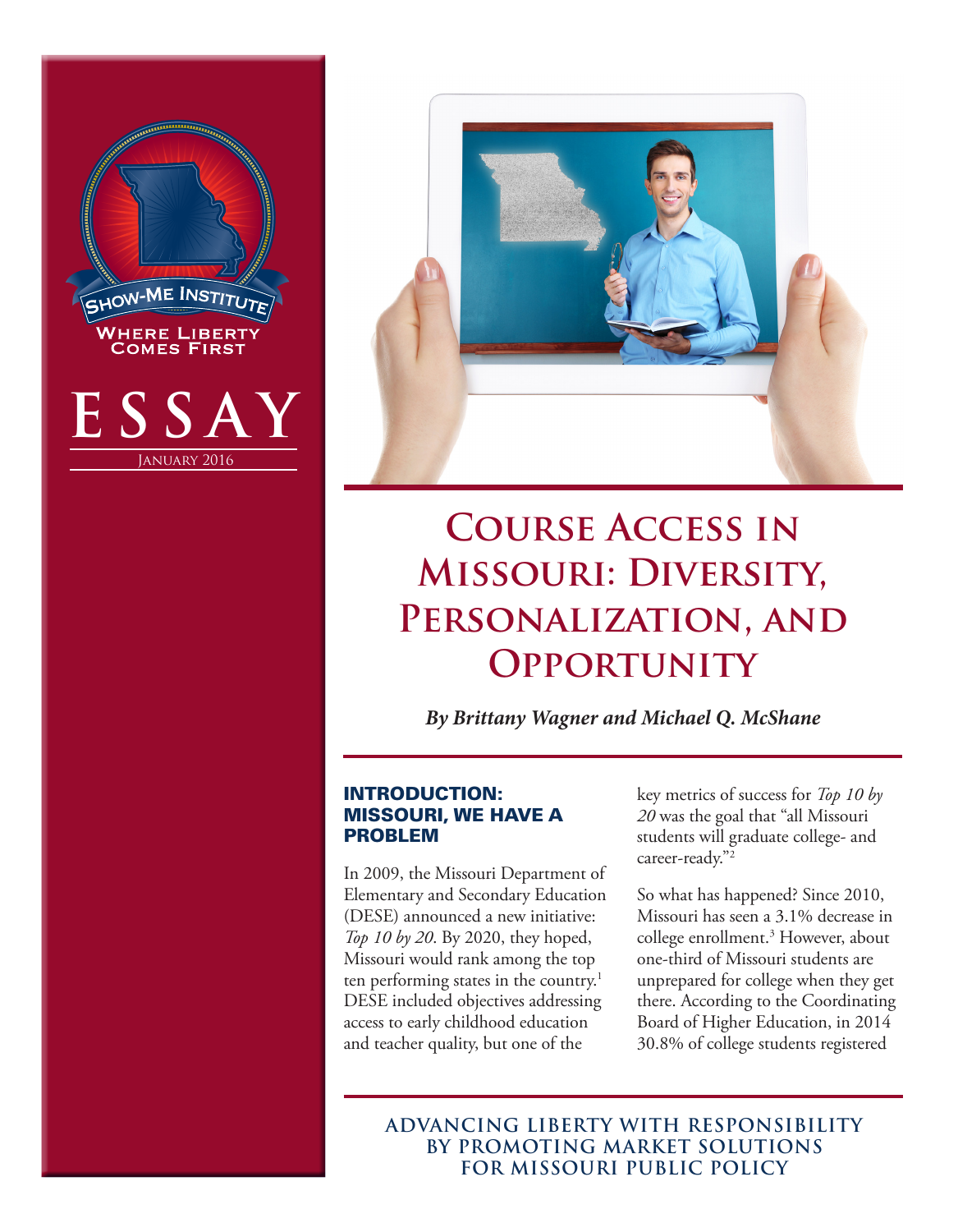



# **Course Access in Missouri: Diversity, Personalization, and Opportunity**

*By Brittany Wagner and Michael Q. McShane*

# INTRODUCTION: MISSOURI, WE HAVE A PROBLEM

In 2009, the Missouri Department of Elementary and Secondary Education (DESE) announced a new initiative: *Top 10 by 20*. By 2020, they hoped, Missouri would rank among the top ten performing states in the country.<sup>1</sup> DESE included objectives addressing access to early childhood education and teacher quality, but one of the

key metrics of success for *Top 10 by 20* was the goal that "all Missouri students will graduate college- and career-ready."2

So what has happened? Since 2010, Missouri has seen a 3.1% decrease in college enrollment.3 However, about one-third of Missouri students are unprepared for college when they get there. According to the Coordinating Board of Higher Education, in 2014 30.8% of college students registered

**ADVANCING LIBERTY WITH RESPONSIBILITY BY PROMOTING MARKET SOLUTIONS FOR MISSOURI PUBLIC POLICY**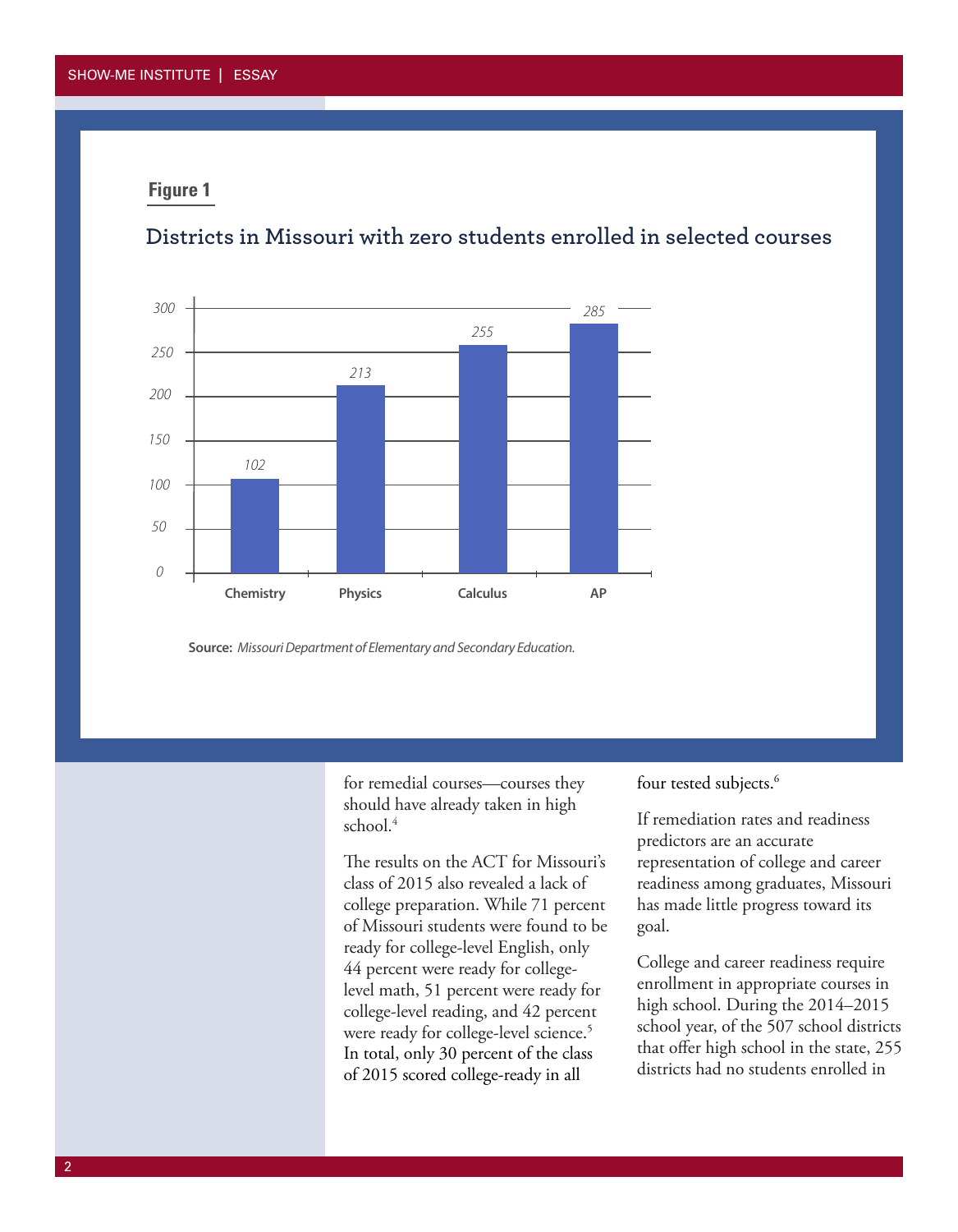# **Districts in Missouri with zero students enrolled in selected courses**



**Source:** *Missouri Department of Elementary and Secondary Education.*

for remedial courses—courses they should have already taken in high school.<sup>4</sup>

The results on the ACT for Missouri's class of 2015 also revealed a lack of college preparation. While 71 percent of Missouri students were found to be ready for college-level English, only 44 percent were ready for collegelevel math, 51 percent were ready for college-level reading, and 42 percent were ready for college-level science. 5 In total, only 30 percent of the class of 2015 scored college-ready in all

four tested subjects.<sup>6</sup>

If remediation rates and readiness predictors are an accurate representation of college and career readiness among graduates, Missouri has made little progress toward its goal.

College and career readiness require enrollment in appropriate courses in high school. During the 2014–2015 school year, of the 507 school districts that offer high school in the state, 255 districts had no students enrolled in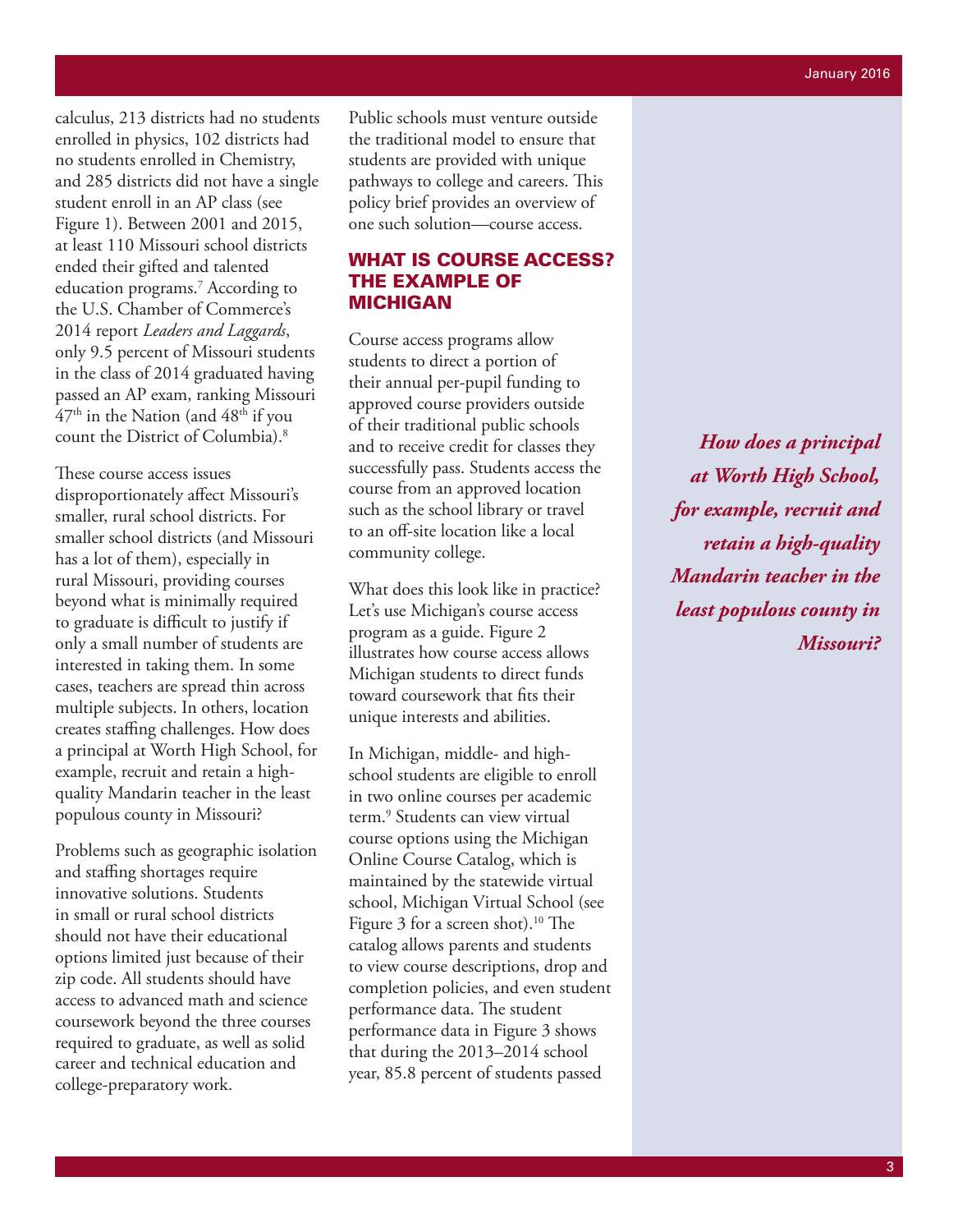calculus, 213 districts had no students enrolled in physics, 102 districts had no students enrolled in Chemistry, and 285 districts did not have a single student enroll in an AP class (see Figure 1). Between 2001 and 2015, at least 110 Missouri school districts ended their gifted and talented education programs.7 According to the U.S. Chamber of Commerce's 2014 report *Leaders and Laggards*, only 9.5 percent of Missouri students in the class of 2014 graduated having passed an AP exam, ranking Missouri  $47<sup>th</sup>$  in the Nation (and  $48<sup>th</sup>$  if you count the District of Columbia).8

These course access issues disproportionately affect Missouri's smaller, rural school districts. For smaller school districts (and Missouri has a lot of them), especially in rural Missouri, providing courses beyond what is minimally required to graduate is difficult to justify if only a small number of students are interested in taking them. In some cases, teachers are spread thin across multiple subjects. In others, location creates staffing challenges. How does a principal at Worth High School, for example, recruit and retain a highquality Mandarin teacher in the least populous county in Missouri?

Problems such as geographic isolation and staffing shortages require innovative solutions. Students in small or rural school districts should not have their educational options limited just because of their zip code. All students should have access to advanced math and science coursework beyond the three courses required to graduate, as well as solid career and technical education and college-preparatory work.

Public schools must venture outside the traditional model to ensure that students are provided with unique pathways to college and careers. This policy brief provides an overview of one such solution—course access.

# WHAT IS COURSE ACCESS? THE EXAMPLE OF MICHIGAN

Course access programs allow students to direct a portion of their annual per-pupil funding to approved course providers outside of their traditional public schools and to receive credit for classes they successfully pass. Students access the course from an approved location such as the school library or travel to an off-site location like a local community college.

What does this look like in practice? Let's use Michigan's course access program as a guide. Figure 2 illustrates how course access allows Michigan students to direct funds toward coursework that fits their unique interests and abilities.

In Michigan, middle- and highschool students are eligible to enroll in two online courses per academic term.9 Students can view virtual course options using the Michigan Online Course Catalog, which is maintained by the statewide virtual school, Michigan Virtual School (see Figure 3 for a screen shot).<sup>10</sup> The catalog allows parents and students to view course descriptions, drop and completion policies, and even student performance data. The student performance data in Figure 3 shows that during the 2013–2014 school year, 85.8 percent of students passed

*How does a principal at Worth High School, for example, recruit and retain a high-quality Mandarin teacher in the least populous county in Missouri?*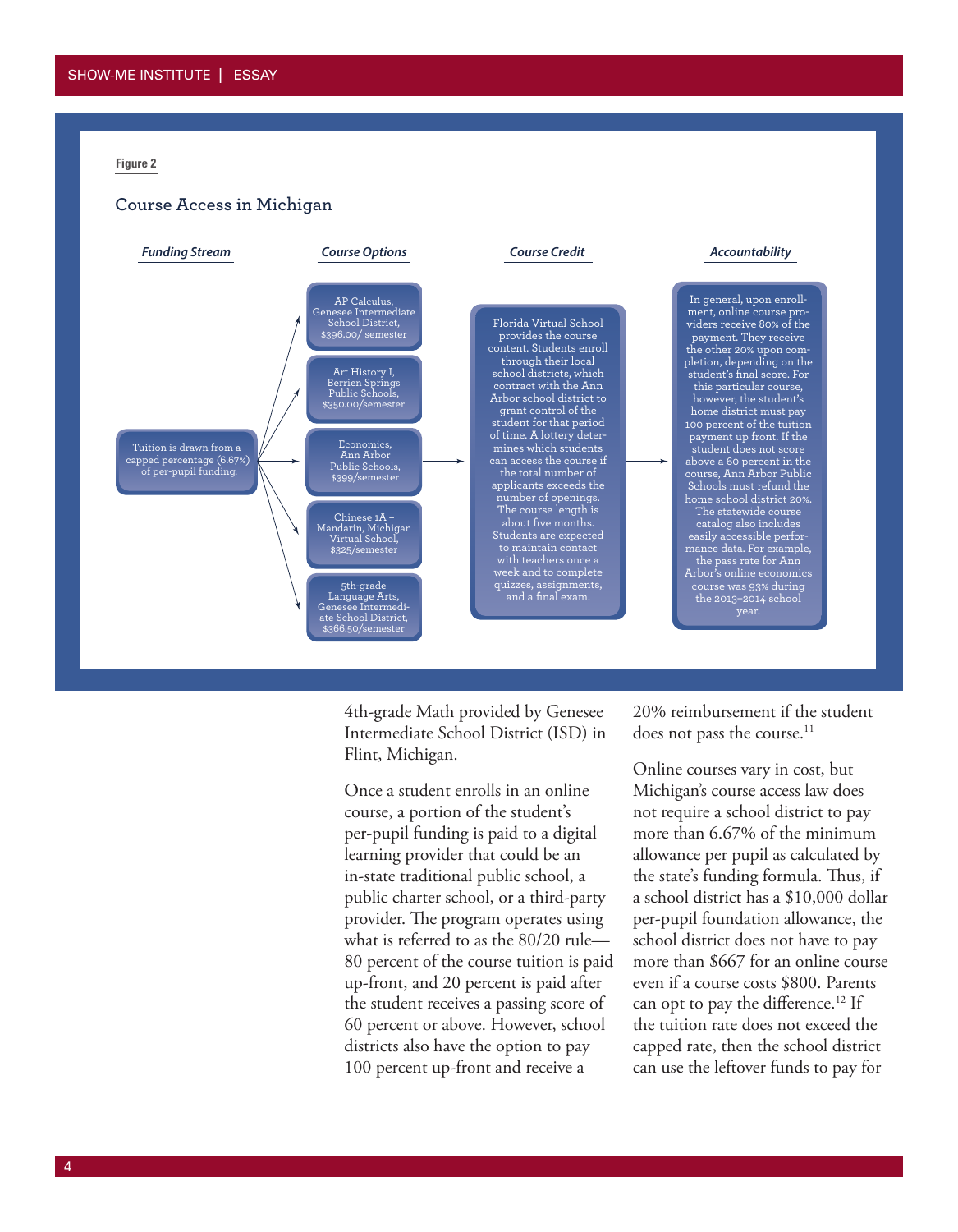#### **Course Access in Michigan**



4th-grade Math provided by Genesee Intermediate School District (ISD) in Flint, Michigan.

Once a student enrolls in an online course, a portion of the student's per-pupil funding is paid to a digital learning provider that could be an in-state traditional public school, a public charter school, or a third-party provider. The program operates using what is referred to as the 80/20 rule— 80 percent of the course tuition is paid up-front, and 20 percent is paid after the student receives a passing score of 60 percent or above. However, school districts also have the option to pay 100 percent up-front and receive a

20% reimbursement if the student does not pass the course.<sup>11</sup>

Online courses vary in cost, but Michigan's course access law does not require a school district to pay more than 6.67% of the minimum allowance per pupil as calculated by the state's funding formula. Thus, if a school district has a \$10,000 dollar per-pupil foundation allowance, the school district does not have to pay more than \$667 for an online course even if a course costs \$800. Parents can opt to pay the difference.<sup>12</sup> If the tuition rate does not exceed the capped rate, then the school district can use the leftover funds to pay for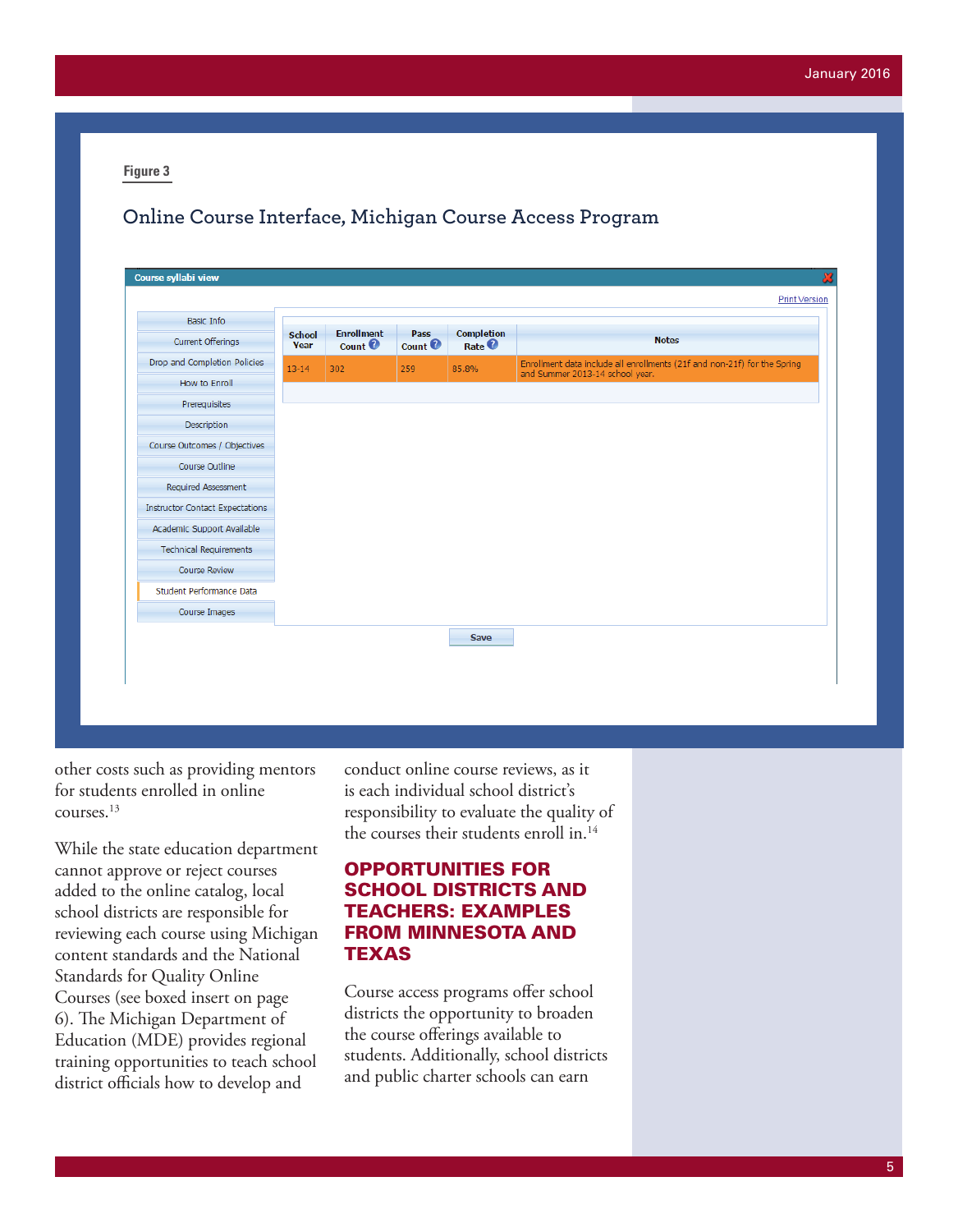# **Online Course Interface, Michigan Course Access Program**

| Basic Info                             |                       |                                      |                       |                                            |                                                                                                             |
|----------------------------------------|-----------------------|--------------------------------------|-----------------------|--------------------------------------------|-------------------------------------------------------------------------------------------------------------|
| Current Offerings                      | <b>School</b><br>Year | <b>Enrollment</b><br>Count $\bullet$ | Pass<br>Count $\odot$ | Completion<br>Rate <sup><sup>2</sup></sup> | <b>Notes</b>                                                                                                |
| Drop and Completion Policies           | $13 - 14$             | 302                                  | 259                   | 85.8%                                      | Enrollment data include all enrollments (21f and non-21f) for the Spring<br>and Summer 2013-14 school year. |
| How to Enroll                          |                       |                                      |                       |                                            |                                                                                                             |
| Prerequisites                          |                       |                                      |                       |                                            |                                                                                                             |
| Description                            |                       |                                      |                       |                                            |                                                                                                             |
| Course Outcomes / Objectives           |                       |                                      |                       |                                            |                                                                                                             |
| Course Outline                         |                       |                                      |                       |                                            |                                                                                                             |
| Required Assessment                    |                       |                                      |                       |                                            |                                                                                                             |
| <b>Instructor Contact Expectations</b> |                       |                                      |                       |                                            |                                                                                                             |
| Academic Support Available             |                       |                                      |                       |                                            |                                                                                                             |
| <b>Technical Requirements</b>          |                       |                                      |                       |                                            |                                                                                                             |
| Course Review                          |                       |                                      |                       |                                            |                                                                                                             |
| Student Performance Data               |                       |                                      |                       |                                            |                                                                                                             |
| Course Images                          |                       |                                      |                       |                                            |                                                                                                             |
|                                        |                       |                                      |                       | Save                                       |                                                                                                             |
|                                        |                       |                                      |                       |                                            |                                                                                                             |

other costs such as providing mentors for students enrolled in online courses.13

While the state education department cannot approve or reject courses added to the online catalog, local school districts are responsible for reviewing each course using Michigan content standards and the National Standards for Quality Online Courses (see boxed insert on page 6). The Michigan Department of Education (MDE) provides regional training opportunities to teach school district officials how to develop and

conduct online course reviews, as it is each individual school district's responsibility to evaluate the quality of the courses their students enroll in.<sup>14</sup>

## OPPORTUNITIES FOR SCHOOL DISTRICTS AND TEACHERS: EXAMPLES FROM MINNESOTA AND TEXAS

Course access programs offer school districts the opportunity to broaden the course offerings available to students. Additionally, school districts and public charter schools can earn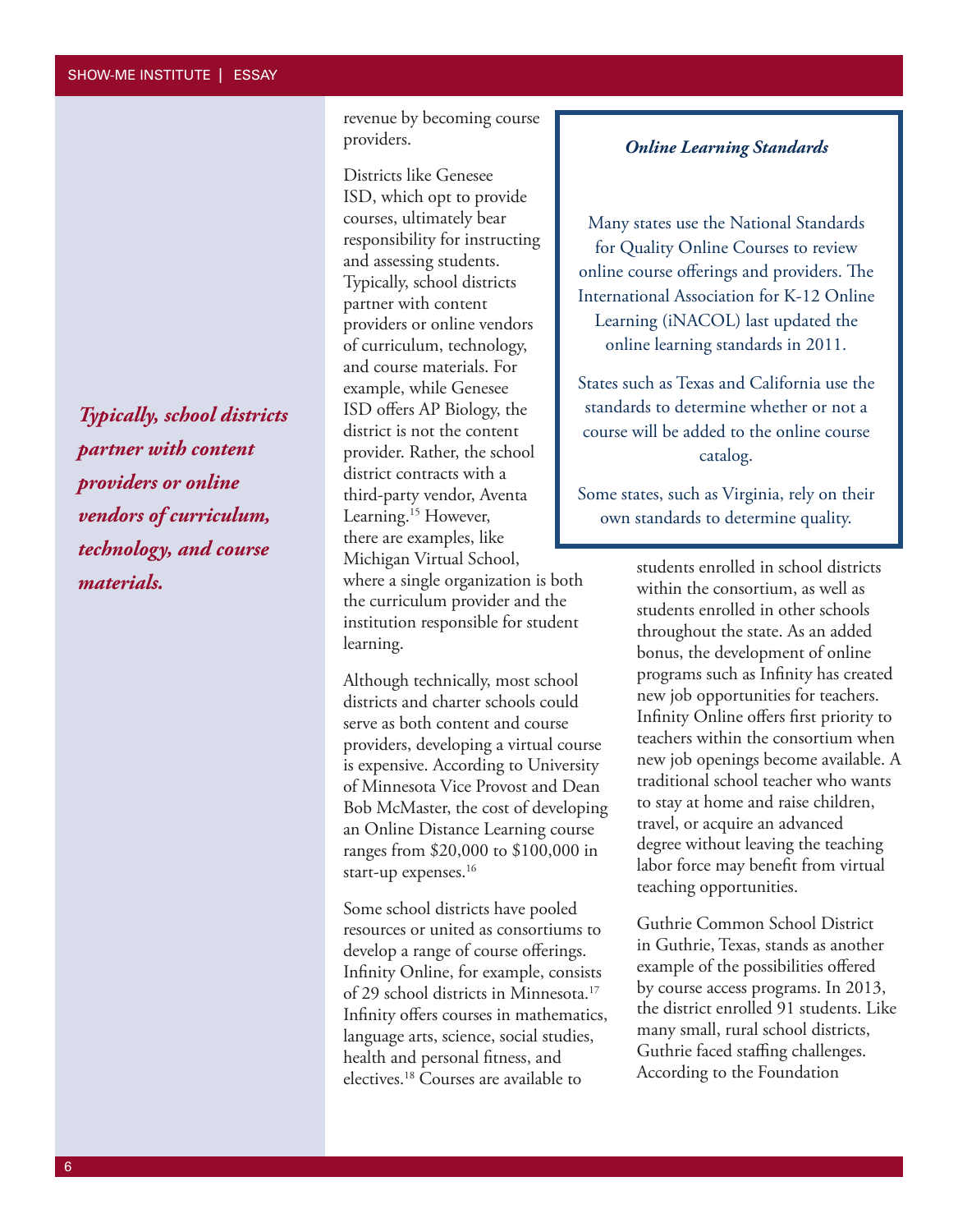*Typically, school districts partner with content providers or online vendors of curriculum, technology, and course materials.*

revenue by becoming course providers.

Districts like Genesee ISD, which opt to provide courses, ultimately bear responsibility for instructing and assessing students. Typically, school districts partner with content providers or online vendors of curriculum, technology, and course materials. For example, while Genesee ISD offers AP Biology, the district is not the content provider. Rather, the school district contracts with a third-party vendor, Aventa Learning.<sup>15</sup> However, there are examples, like Michigan Virtual School, where a single organization is both the curriculum provider and the institution responsible for student learning.

Although technically, most school districts and charter schools could serve as both content and course providers, developing a virtual course is expensive. According to University of Minnesota Vice Provost and Dean Bob McMaster, the cost of developing an Online Distance Learning course ranges from \$20,000 to \$100,000 in start-up expenses.<sup>16</sup>

Some school districts have pooled resources or united as consortiums to develop a range of course offerings. Infinity Online, for example, consists of 29 school districts in Minnesota.17 Infinity offers courses in mathematics, language arts, science, social studies, health and personal fitness, and electives.18 Courses are available to

#### *Online Learning Standards*

Many states use the National Standards for Quality Online Courses to review online course offerings and providers. The International Association for K-12 Online Learning (iNACOL) last updated the online learning standards in 2011.

States such as Texas and California use the standards to determine whether or not a course will be added to the online course catalog.

Some states, such as Virginia, rely on their own standards to determine quality.

> students enrolled in school districts within the consortium, as well as students enrolled in other schools throughout the state. As an added bonus, the development of online programs such as Infinity has created new job opportunities for teachers. Infinity Online offers first priority to teachers within the consortium when new job openings become available. A traditional school teacher who wants to stay at home and raise children, travel, or acquire an advanced degree without leaving the teaching labor force may benefit from virtual teaching opportunities.

Guthrie Common School District in Guthrie, Texas, stands as another example of the possibilities offered by course access programs. In 2013, the district enrolled 91 students. Like many small, rural school districts, Guthrie faced staffing challenges. According to the Foundation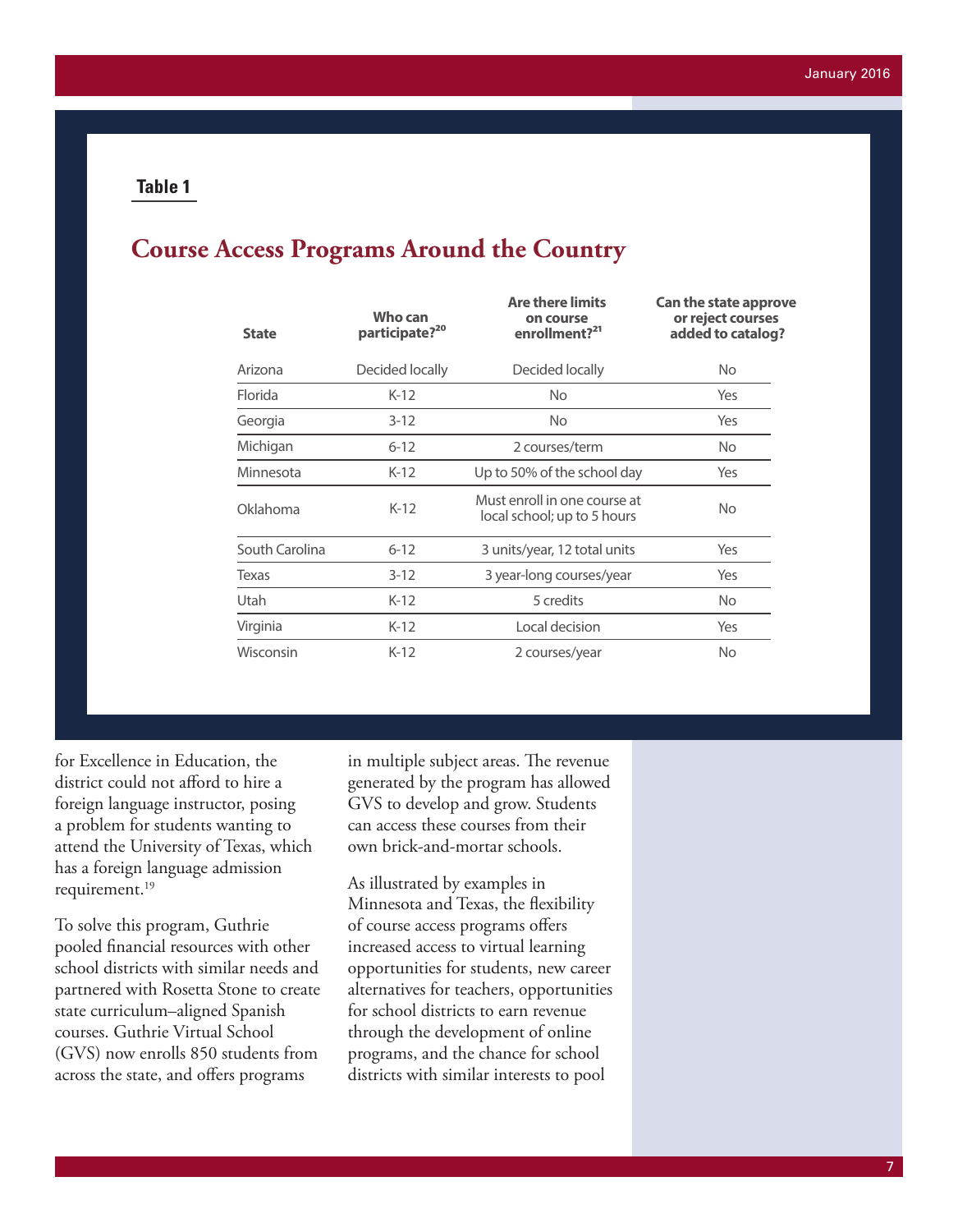# **Course Access Programs Around the Country**

| Who can<br>participate? <sup>20</sup> | <b>Are there limits</b><br>on course<br>enrollment? <sup>21</sup> | <b>Can the state approve</b><br>or reject courses<br>added to catalog?<br>No. |  |
|---------------------------------------|-------------------------------------------------------------------|-------------------------------------------------------------------------------|--|
| Decided locally                       | Decided locally                                                   |                                                                               |  |
| $K-12$                                | No.                                                               | Yes                                                                           |  |
| $3 - 12$                              | No.                                                               | Yes                                                                           |  |
| $6 - 12$                              | 2 courses/term                                                    | <b>No</b>                                                                     |  |
| K-12                                  | Up to 50% of the school day                                       | Yes                                                                           |  |
| $K-12$                                | Must enroll in one course at<br>local school; up to 5 hours       | No.                                                                           |  |
| $6 - 12$                              | 3 units/year, 12 total units                                      | Yes                                                                           |  |
| $3 - 12$                              | 3 year-long courses/year                                          | Yes                                                                           |  |
| $K-12$                                | 5 credits                                                         | No.                                                                           |  |
| $K-12$                                | Local decision                                                    | Yes                                                                           |  |
| $K-12$                                | 2 courses/year                                                    | <b>No</b>                                                                     |  |
|                                       |                                                                   |                                                                               |  |

for Excellence in Education, the district could not afford to hire a foreign language instructor, posing a problem for students wanting to attend the University of Texas, which has a foreign language admission requirement.<sup>19</sup>

To solve this program, Guthrie pooled financial resources with other school districts with similar needs and partnered with Rosetta Stone to create state curriculum–aligned Spanish courses. Guthrie Virtual School (GVS) now enrolls 850 students from across the state, and offers programs

in multiple subject areas. The revenue generated by the program has allowed GVS to develop and grow. Students can access these courses from their own brick-and-mortar schools.

As illustrated by examples in Minnesota and Texas, the flexibility of course access programs offers increased access to virtual learning opportunities for students, new career alternatives for teachers, opportunities for school districts to earn revenue through the development of online programs, and the chance for school districts with similar interests to pool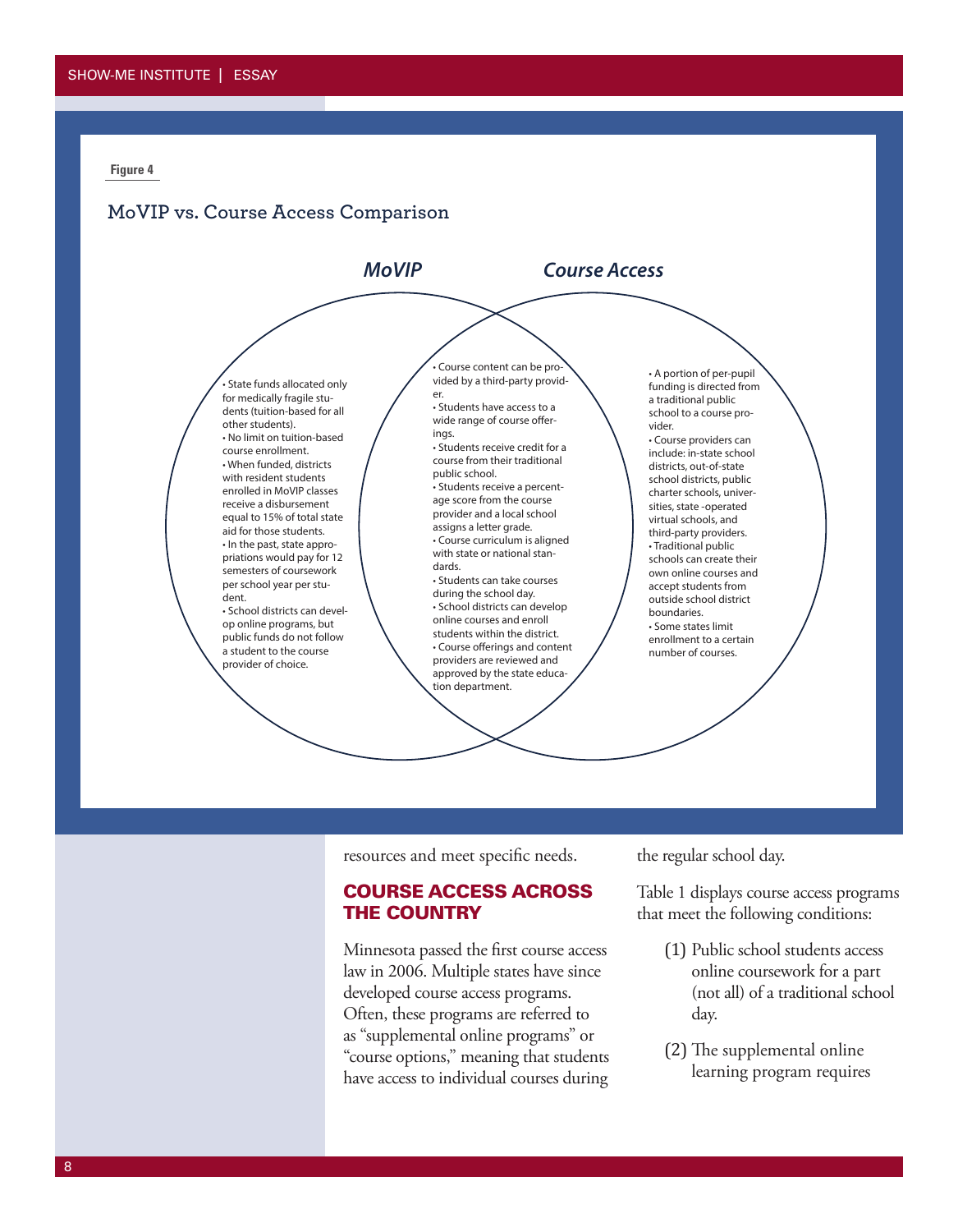### **MoVIP vs. Course Access Comparison**



resources and meet specific needs.

## COURSE ACCESS ACROSS THE COUNTRY

Minnesota passed the first course access law in 2006. Multiple states have since developed course access programs. Often, these programs are referred to as "supplemental online programs" or "course options," meaning that students have access to individual courses during the regular school day.

Table 1 displays course access programs that meet the following conditions:

- (1) Public school students access online coursework for a part (not all) of a traditional school day.
- (2) The supplemental online learning program requires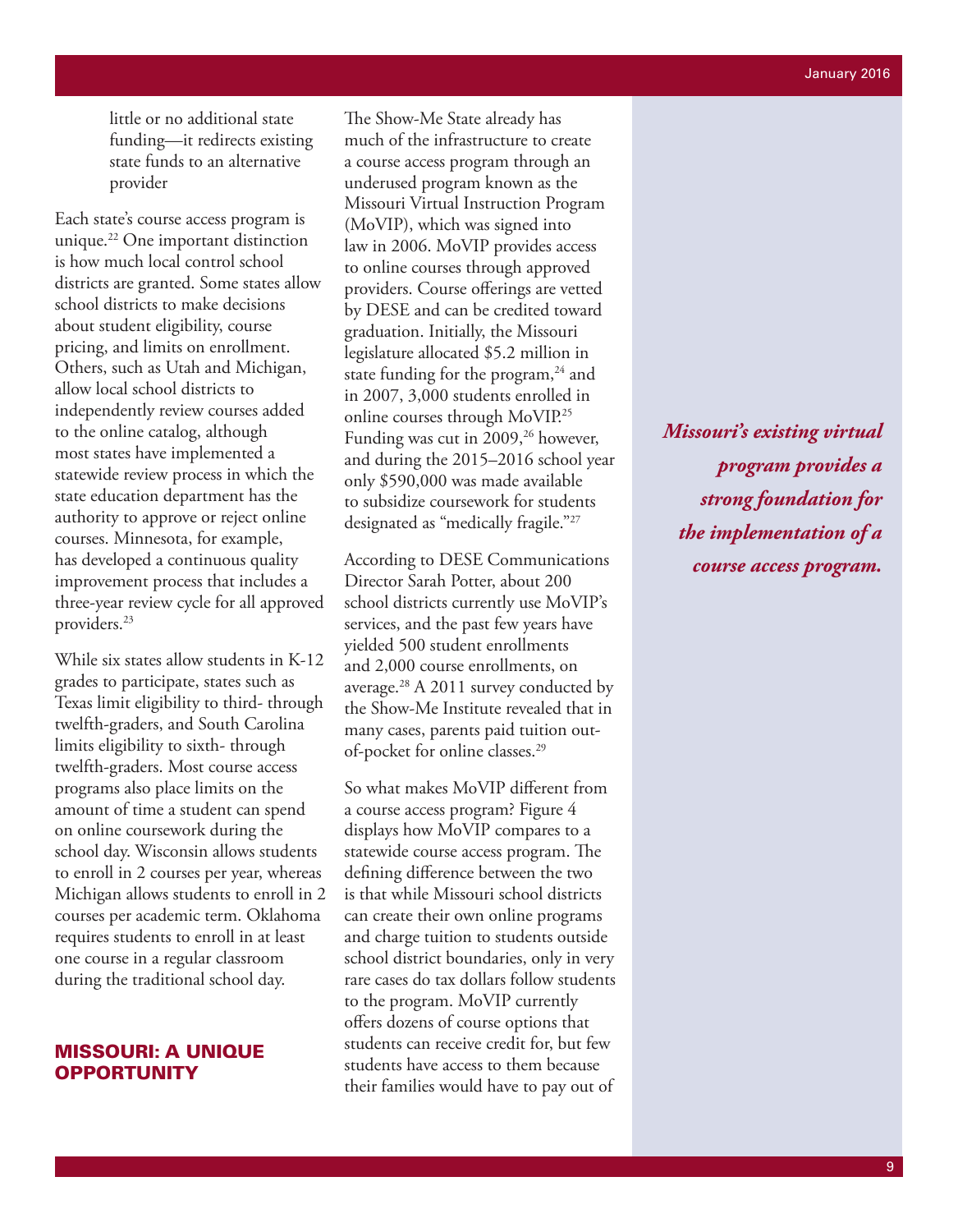little or no additional state funding—it redirects existing state funds to an alternative provider

Each state's course access program is unique.22 One important distinction is how much local control school districts are granted. Some states allow school districts to make decisions about student eligibility, course pricing, and limits on enrollment. Others, such as Utah and Michigan, allow local school districts to independently review courses added to the online catalog, although most states have implemented a statewide review process in which the state education department has the authority to approve or reject online courses. Minnesota, for example, has developed a continuous quality improvement process that includes a three-year review cycle for all approved providers.23

While six states allow students in K-12 grades to participate, states such as Texas limit eligibility to third- through twelfth-graders, and South Carolina limits eligibility to sixth- through twelfth-graders. Most course access programs also place limits on the amount of time a student can spend on online coursework during the school day. Wisconsin allows students to enroll in 2 courses per year, whereas Michigan allows students to enroll in 2 courses per academic term. Oklahoma requires students to enroll in at least one course in a regular classroom during the traditional school day.

#### MISSOURI: A UNIQUE **OPPORTUNITY**

The Show-Me State already has much of the infrastructure to create a course access program through an underused program known as the Missouri Virtual Instruction Program (MoVIP), which was signed into law in 2006. MoVIP provides access to online courses through approved providers. Course offerings are vetted by DESE and can be credited toward graduation. Initially, the Missouri legislature allocated \$5.2 million in state funding for the program,<sup>24</sup> and in 2007, 3,000 students enrolled in online courses through MoVIP.25 Funding was cut in 2009,<sup>26</sup> however, and during the 2015–2016 school year only \$590,000 was made available to subsidize coursework for students designated as "medically fragile."27

According to DESE Communications Director Sarah Potter, about 200 school districts currently use MoVIP's services, and the past few years have yielded 500 student enrollments and 2,000 course enrollments, on average.28 A 2011 survey conducted by the Show-Me Institute revealed that in many cases, parents paid tuition outof-pocket for online classes.29

So what makes MoVIP different from a course access program? Figure 4 displays how MoVIP compares to a statewide course access program. The defining difference between the two is that while Missouri school districts can create their own online programs and charge tuition to students outside school district boundaries, only in very rare cases do tax dollars follow students to the program. MoVIP currently offers dozens of course options that students can receive credit for, but few students have access to them because their families would have to pay out of

*Missouri's existing virtual program provides a strong foundation for the implementation of a course access program.*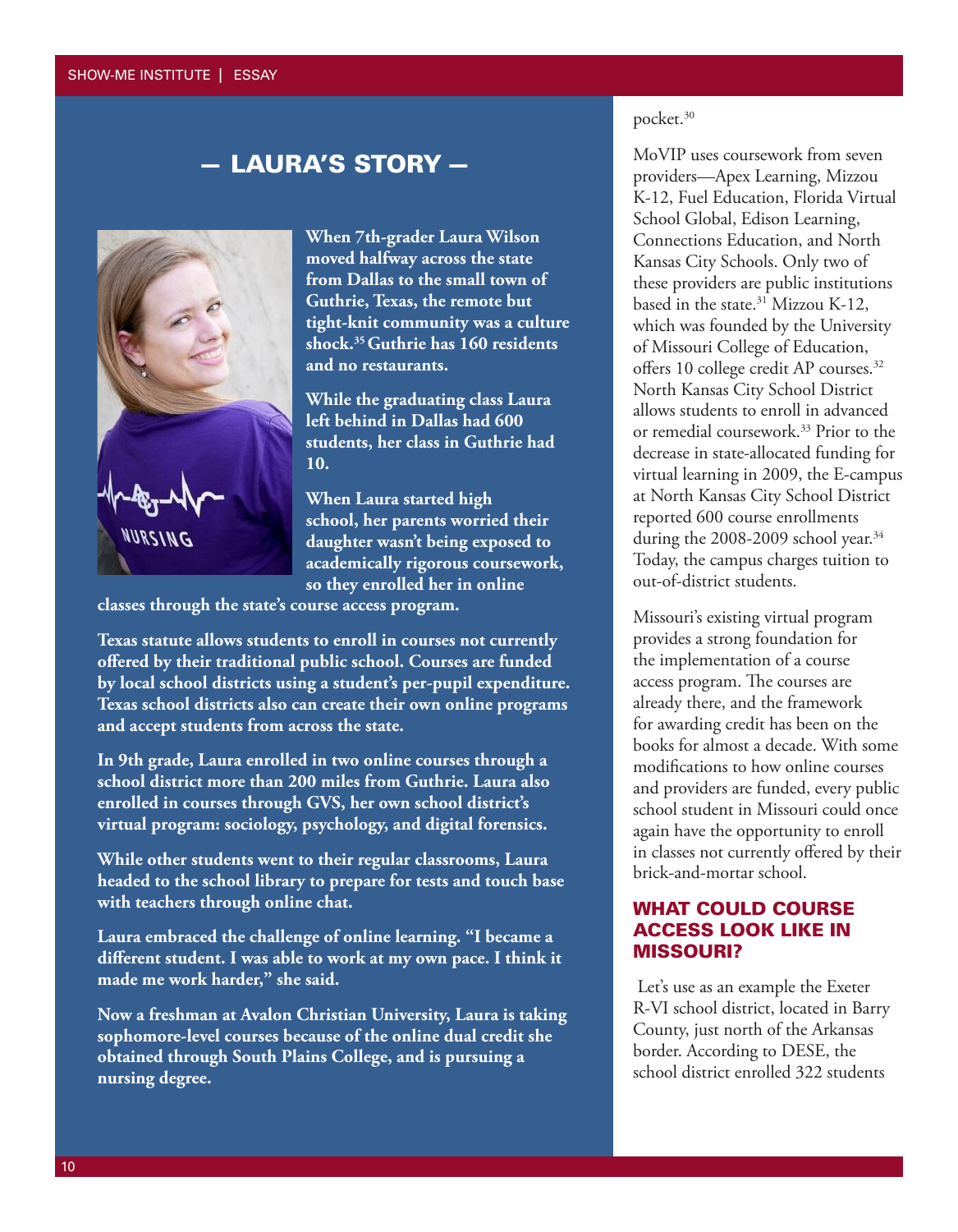#### SHOW-ME INSTITUTE | ESSAY

# — LAURA'S STORY —



**When 7th-grader Laura Wilson moved halfway across the state from Dallas to the small town of Guthrie, Texas, the remote but tight-knit community was a culture shock.35 Guthrie has 160 residents and no restaurants.** 

**While the graduating class Laura left behind in Dallas had 600 students, her class in Guthrie had 10.** 

**When Laura started high school, her parents worried their daughter wasn't being exposed to academically rigorous coursework, so they enrolled her in online** 

**classes through the state's course access program.** 

**Texas statute allows students to enroll in courses not currently offered by their traditional public school. Courses are funded by local school districts using a student's per-pupil expenditure. Texas school districts also can create their own online programs and accept students from across the state.** 

**In 9th grade, Laura enrolled in two online courses through a school district more than 200 miles from Guthrie. Laura also enrolled in courses through GVS, her own school district's virtual program: sociology, psychology, and digital forensics.** 

**While other students went to their regular classrooms, Laura headed to the school library to prepare for tests and touch base with teachers through online chat.** 

**Laura embraced the challenge of online learning. "I became a different student. I was able to work at my own pace. I think it made me work harder," she said.** 

**Now a freshman at Avalon Christian University, Laura is taking sophomore-level courses because of the online dual credit she obtained through South Plains College, and is pursuing a nursing degree.** 

## pocket.30

MoVIP uses coursework from seven providers—Apex Learning, Mizzou K-12, Fuel Education, Florida Virtual School Global, Edison Learning, Connections Education, and North Kansas City Schools. Only two of these providers are public institutions based in the state.<sup>31</sup> Mizzou K-12, which was founded by the University of Missouri College of Education, offers 10 college credit AP courses.32 North Kansas City School District allows students to enroll in advanced or remedial coursework.33 Prior to the decrease in state-allocated funding for virtual learning in 2009, the E-campus at North Kansas City School District reported 600 course enrollments during the 2008-2009 school year. $34$ Today, the campus charges tuition to out-of-district students.

Missouri's existing virtual program provides a strong foundation for the implementation of a course access program. The courses are already there, and the framework for awarding credit has been on the books for almost a decade. With some modifications to how online courses and providers are funded, every public school student in Missouri could once again have the opportunity to enroll in classes not currently offered by their brick-and-mortar school.

## WHAT COULD COURSE ACCESS LOOK LIKE IN MISSOURI?

 Let's use as an example the Exeter R-VI school district, located in Barry County, just north of the Arkansas border. According to DESE, the school district enrolled 322 students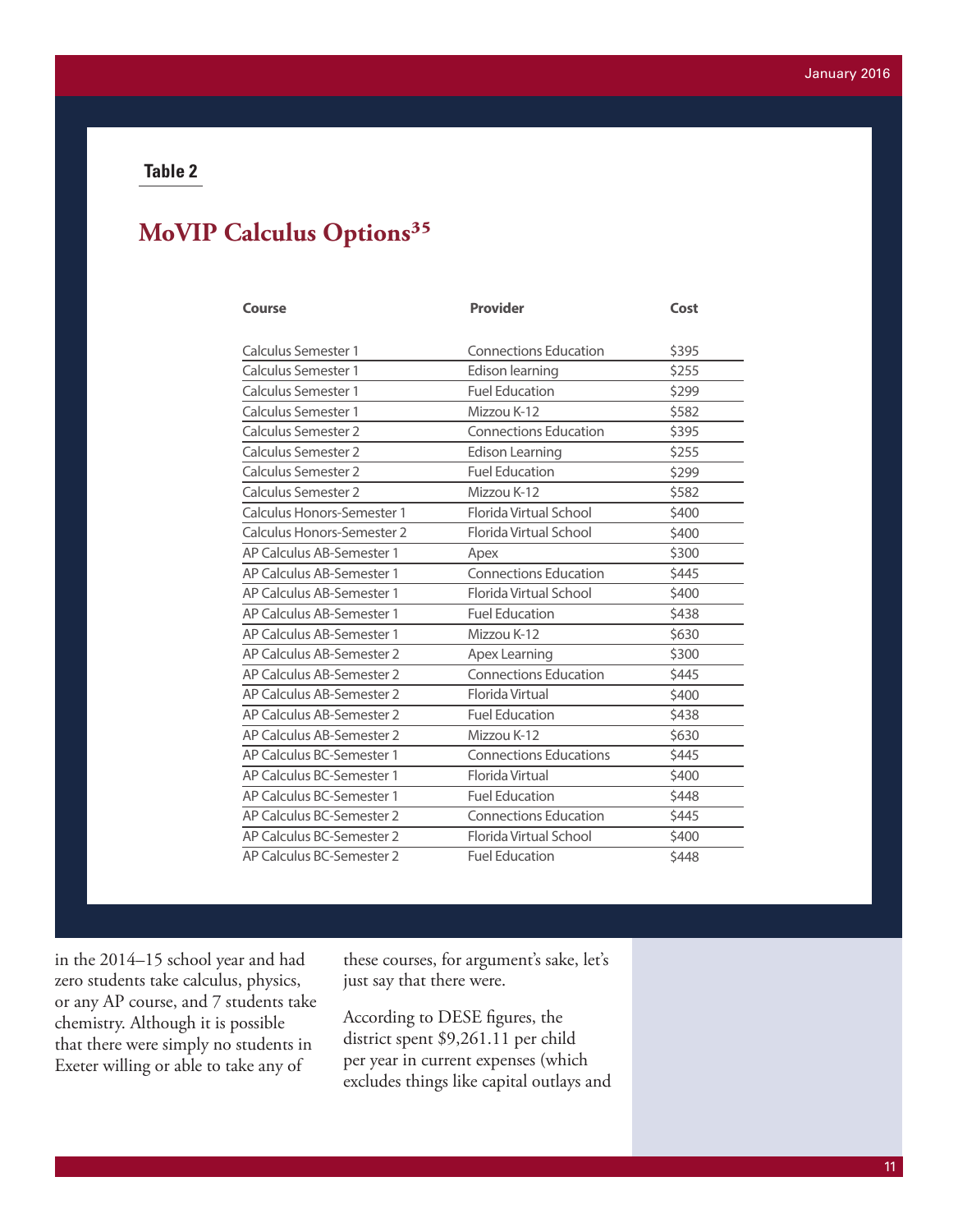# **MoVIP Calculus Options35**

| Course                     | <b>Provider</b>               | Cost  |  |
|----------------------------|-------------------------------|-------|--|
| Calculus Semester 1        | <b>Connections Education</b>  | \$395 |  |
| <b>Calculus Semester 1</b> | Edison learning               | \$255 |  |
| Calculus Semester 1        | <b>Fuel Education</b>         | \$299 |  |
| <b>Calculus Semester 1</b> | Mizzou K-12                   | \$582 |  |
| <b>Calculus Semester 2</b> | <b>Connections Education</b>  | \$395 |  |
| <b>Calculus Semester 2</b> | <b>Edison Learning</b>        | \$255 |  |
| <b>Calculus Semester 2</b> | <b>Fuel Education</b>         | \$299 |  |
| <b>Calculus Semester 2</b> | Mizzou K-12                   | \$582 |  |
| Calculus Honors-Semester 1 | Florida Virtual School        | \$400 |  |
| Calculus Honors-Semester 2 | Florida Virtual School        | \$400 |  |
| AP Calculus AB-Semester 1  | Apex                          | \$300 |  |
| AP Calculus AB-Semester 1  | <b>Connections Education</b>  | \$445 |  |
| AP Calculus AB-Semester 1  | Florida Virtual School        | \$400 |  |
| AP Calculus AB-Semester 1  | <b>Fuel Education</b>         | \$438 |  |
| AP Calculus AB-Semester 1  | Mizzou K-12                   | \$630 |  |
| AP Calculus AB-Semester 2  | Apex Learning                 | \$300 |  |
| AP Calculus AB-Semester 2  | <b>Connections Education</b>  | \$445 |  |
| AP Calculus AB-Semester 2  | Florida Virtual               | \$400 |  |
| AP Calculus AB-Semester 2  | <b>Fuel Education</b>         | \$438 |  |
| AP Calculus AB-Semester 2  | Mizzou K-12                   | \$630 |  |
| AP Calculus BC-Semester 1  | <b>Connections Educations</b> | \$445 |  |
| AP Calculus BC-Semester 1  | Florida Virtual               | \$400 |  |
| AP Calculus BC-Semester 1  | <b>Fuel Education</b>         | \$448 |  |
| AP Calculus BC-Semester 2  | <b>Connections Education</b>  | \$445 |  |
| AP Calculus BC-Semester 2  | Florida Virtual School        | \$400 |  |
| AP Calculus BC-Semester 2  | <b>Fuel Education</b>         | \$448 |  |

in the 2014–15 school year and had zero students take calculus, physics, or any AP course, and 7 students take chemistry. Although it is possible that there were simply no students in Exeter willing or able to take any of

these courses, for argument's sake, let's just say that there were.

According to DESE figures, the district spent \$9,261.11 per child per year in current expenses (which excludes things like capital outlays and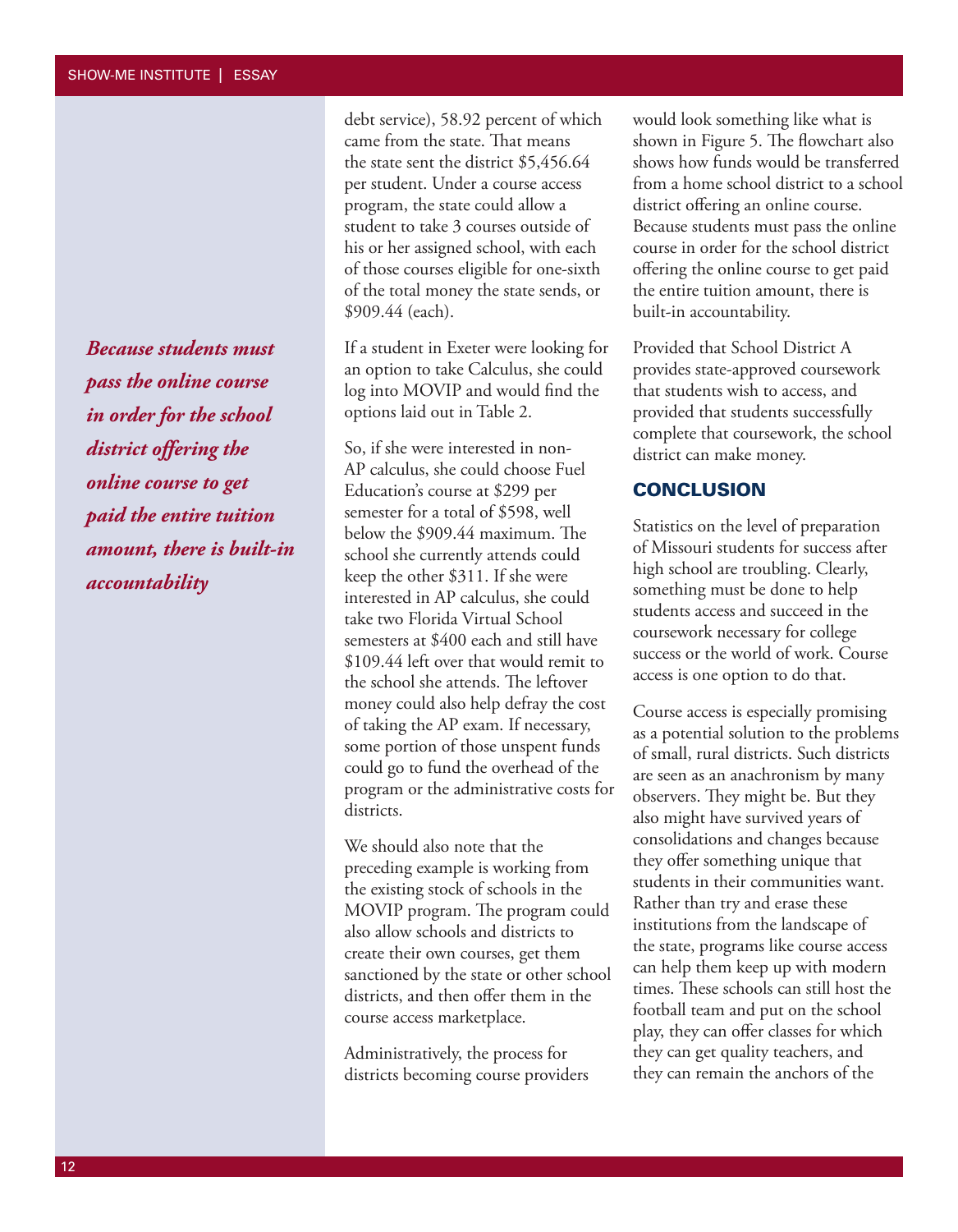*Because students must pass the online course in order for the school district offering the online course to get paid the entire tuition amount, there is built-in accountability*

debt service), 58.92 percent of which came from the state. That means the state sent the district \$5,456.64 per student. Under a course access program, the state could allow a student to take 3 courses outside of his or her assigned school, with each of those courses eligible for one-sixth of the total money the state sends, or \$909.44 (each).

If a student in Exeter were looking for an option to take Calculus, she could log into MOVIP and would find the options laid out in Table 2.

So, if she were interested in non-AP calculus, she could choose Fuel Education's course at \$299 per semester for a total of \$598, well below the \$909.44 maximum. The school she currently attends could keep the other \$311. If she were interested in AP calculus, she could take two Florida Virtual School semesters at \$400 each and still have \$109.44 left over that would remit to the school she attends. The leftover money could also help defray the cost of taking the AP exam. If necessary, some portion of those unspent funds could go to fund the overhead of the program or the administrative costs for districts.

We should also note that the preceding example is working from the existing stock of schools in the MOVIP program. The program could also allow schools and districts to create their own courses, get them sanctioned by the state or other school districts, and then offer them in the course access marketplace.

Administratively, the process for districts becoming course providers would look something like what is shown in Figure 5. The flowchart also shows how funds would be transferred from a home school district to a school district offering an online course. Because students must pass the online course in order for the school district offering the online course to get paid the entire tuition amount, there is built-in accountability.

Provided that School District A provides state-approved coursework that students wish to access, and provided that students successfully complete that coursework, the school district can make money.

#### **CONCLUSION**

Statistics on the level of preparation of Missouri students for success after high school are troubling. Clearly, something must be done to help students access and succeed in the coursework necessary for college success or the world of work. Course access is one option to do that.

Course access is especially promising as a potential solution to the problems of small, rural districts. Such districts are seen as an anachronism by many observers. They might be. But they also might have survived years of consolidations and changes because they offer something unique that students in their communities want. Rather than try and erase these institutions from the landscape of the state, programs like course access can help them keep up with modern times. These schools can still host the football team and put on the school play, they can offer classes for which they can get quality teachers, and they can remain the anchors of the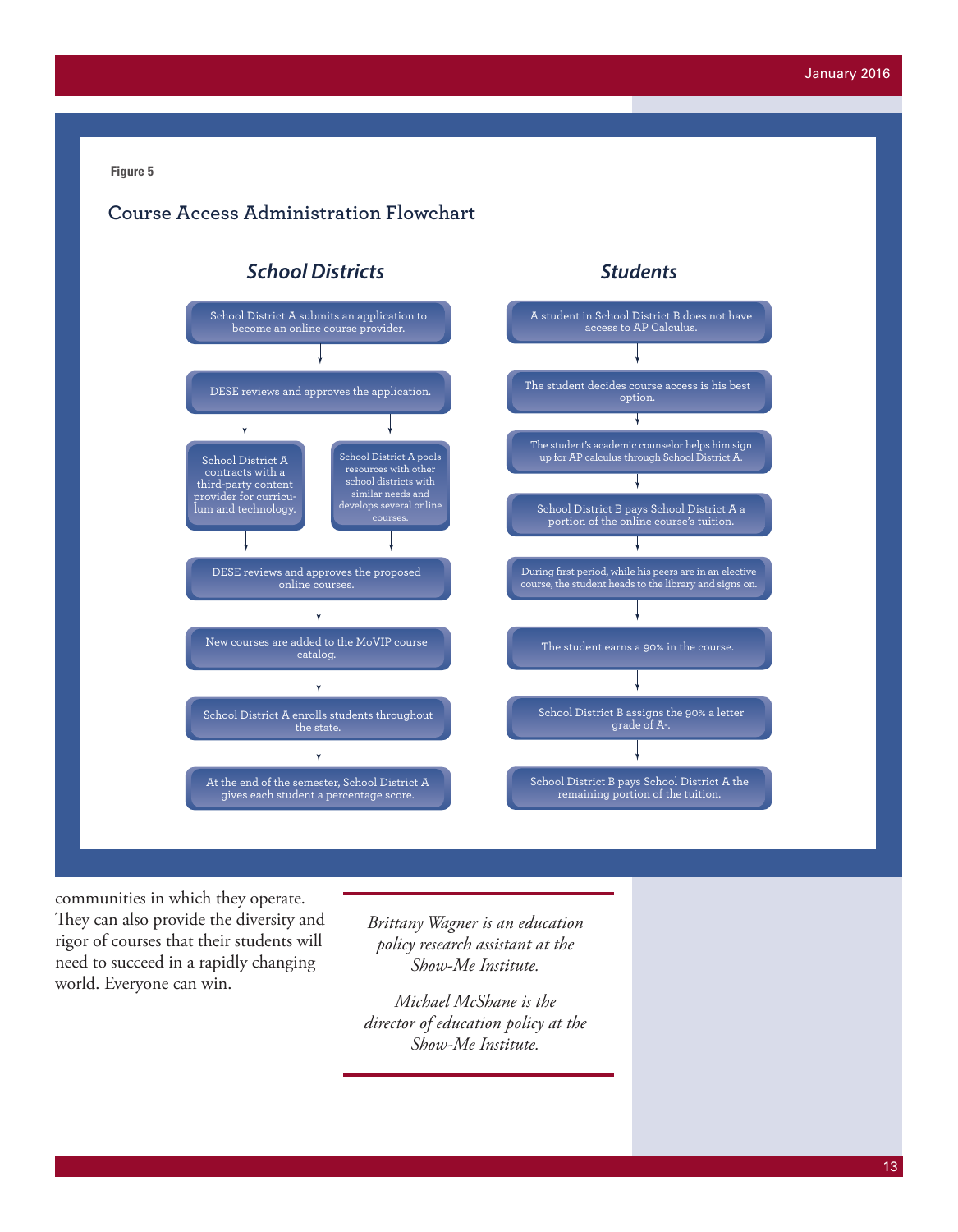# **Course Access Administration Flowchart**



communities in which they operate. They can also provide the diversity and rigor of courses that their students will need to succeed in a rapidly changing world. Everyone can win.

*Brittany Wagner is an education policy research assistant at the Show-Me Institute.* 

*Michael McShane is the director of education policy at the Show-Me Institute.*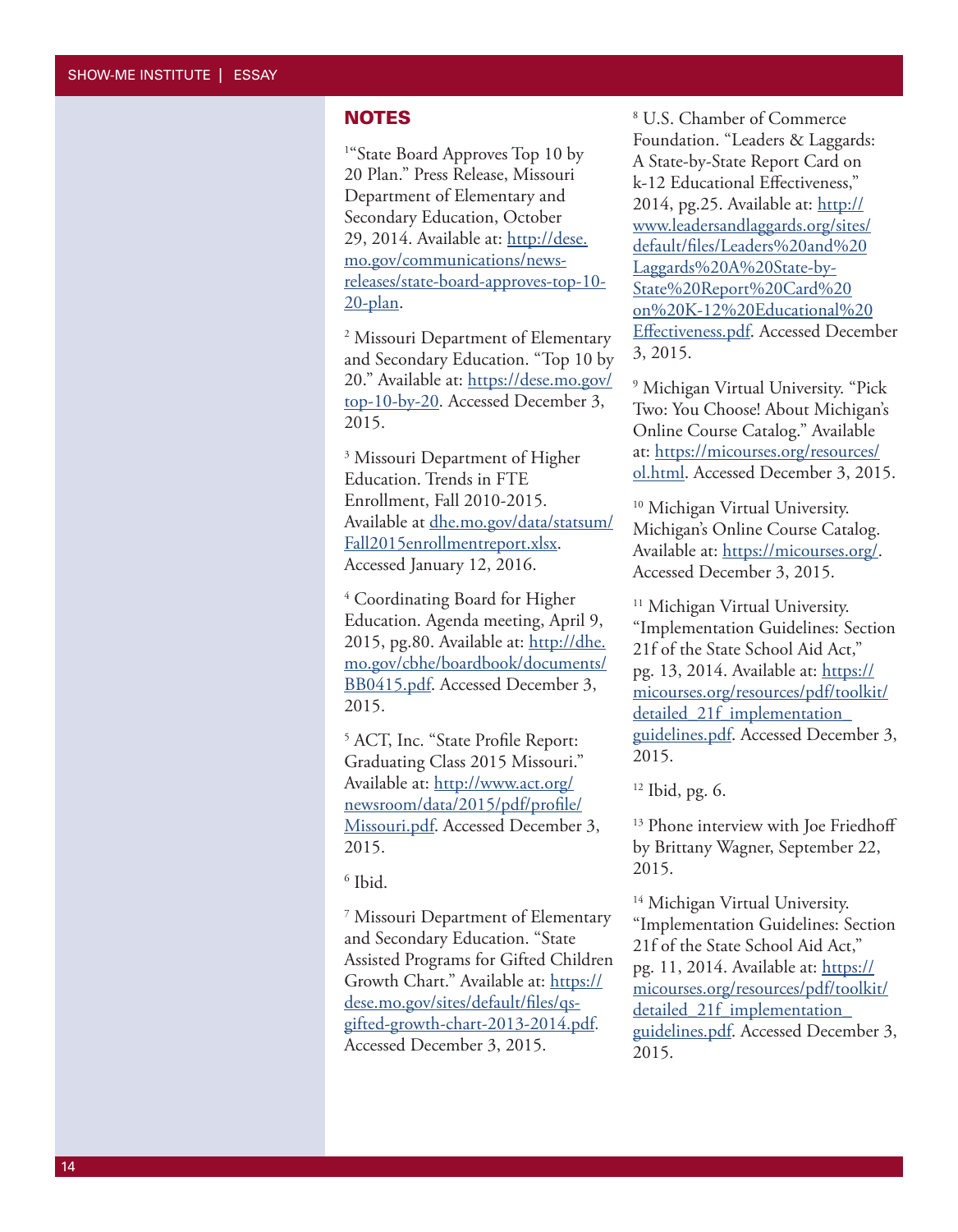#### **NOTES**

<sup>1</sup>"State Board Approves Top 10 by 20 Plan." Press Release, Missouri Department of Elementary and Secondary Education, October 29, 2014. Available at: [http://dese.](http://dese.mo.gov/communications/news-releases/state-board-approves-top-10-20-plan) [mo.gov/communications/news](http://dese.mo.gov/communications/news-releases/state-board-approves-top-10-20-plan)[releases/state-board-approves-top-10-](http://dese.mo.gov/communications/news-releases/state-board-approves-top-10-20-plan) [20-plan](http://dese.mo.gov/communications/news-releases/state-board-approves-top-10-20-plan) .

2 Missouri Department of Elementary and Secondary Education. "Top 10 by 20." Available at: [https://dese.mo.gov/](https://dese.mo.gov/top-10-by-20) [top-10-by-20](https://dese.mo.gov/top-10-by-20) . Accessed December 3, 2015.

<sup>3</sup> Missouri Department of Higher Education. Trends in FTE Enrollment, Fall 2010-2015. Available at dhe.mo.gov/data/statsum/ Fall2015enrollmentreport.xlsx. Accessed January 12, 2016.

4 Coordinating Board for Higher Education. Agenda meeting, April 9, 2015, pg.80. Available at: [http://dhe.](http://dhe.mo.gov/cbhe/boardbook/documents/BB0415.pdf) [mo.gov/cbhe/boardbook/documents/](http://dhe.mo.gov/cbhe/boardbook/documents/BB0415.pdf) [BB0415.pdf](http://dhe.mo.gov/cbhe/boardbook/documents/BB0415.pdf). Accessed December 3, 2015.

5 ACT, Inc. "State Profile Report: Graduating Class 2015 Missouri." Available at: [http://www.act.org/](http://www.act.org/newsroom/data/2015/pdf/profile/Missouri.pdf) [newsroom/data/2015/pdf/profile/](http://www.act.org/newsroom/data/2015/pdf/profile/Missouri.pdf) [Missouri.pdf.](http://www.act.org/newsroom/data/2015/pdf/profile/Missouri.pdf) Accessed December 3, 2015.

 $6$  Ibid.

7 Missouri Department of Elementary and Secondary Education. "State Assisted Programs for Gifted Children Growth Chart." Available at: [https://](https://dese.mo.gov/sites/default/files/qs-gifted-growth-chart-2013-2014.pdf) [dese.mo.gov/sites/default/files/qs](https://dese.mo.gov/sites/default/files/qs-gifted-growth-chart-2013-2014.pdf)[gifted-growth-chart-2013-2014.pdf](https://dese.mo.gov/sites/default/files/qs-gifted-growth-chart-2013-2014.pdf). Accessed December 3, 2015.

8 U.S. Chamber of Commerce Foundation. "Leaders & Laggards: A State-by-State Report Card on k-12 Educational Effectiveness," 2014, pg.25. Available at: [http://](http://www.leadersandlaggards.org/sites/default/files/Leaders%20and%20Laggards%20A%20State-by-State%20Report%20Card%20on%20K-12%20Educational%20Effectiveness.pdf) [www.leadersandlaggards.org/sites/](http://www.leadersandlaggards.org/sites/default/files/Leaders%20and%20Laggards%20A%20State-by-State%20Report%20Card%20on%20K-12%20Educational%20Effectiveness.pdf) [default/files/Leaders%20and%20](http://www.leadersandlaggards.org/sites/default/files/Leaders%20and%20Laggards%20A%20State-by-State%20Report%20Card%20on%20K-12%20Educational%20Effectiveness.pdf) [Laggards%20A%20State-by-](http://www.leadersandlaggards.org/sites/default/files/Leaders%20and%20Laggards%20A%20State-by-State%20Report%20Card%20on%20K-12%20Educational%20Effectiveness.pdf)[State%20Report%20Card%20](http://www.leadersandlaggards.org/sites/default/files/Leaders%20and%20Laggards%20A%20State-by-State%20Report%20Card%20on%20K-12%20Educational%20Effectiveness.pdf) [on%20K-12%20Educational%20](http://www.leadersandlaggards.org/sites/default/files/Leaders%20and%20Laggards%20A%20State-by-State%20Report%20Card%20on%20K-12%20Educational%20Effectiveness.pdf) [Effectiveness.pdf](http://www.leadersandlaggards.org/sites/default/files/Leaders%20and%20Laggards%20A%20State-by-State%20Report%20Card%20on%20K-12%20Educational%20Effectiveness.pdf). Accessed December 3, 2015.

9 Michigan Virtual University. "Pick Two: You Choose! About Michigan's Online Course Catalog." Available at: [https://micourses.org/resources/](https://micourses.org/resources/ol.html) <u>[ol.html](https://micourses.org/resources/ol.html)</u>. Accessed December 3, 2015.

<sup>10</sup> Michigan Virtual University. Michigan's Online Course Catalog. Available at: <u>https://micourses.org/</u>. Accessed December 3, 2015.

<sup>11</sup> Michigan Virtual University. "Implementation Guidelines: Section 21f of the State School Aid Act," pg. 13, 2014. Available at: [https://](https://micourses.org/resources/pdf/toolkit/detailed_21f_implementation_guidelines.pdf) [micourses.org/resources/pdf/toolkit/](https://micourses.org/resources/pdf/toolkit/detailed_21f_implementation_guidelines.pdf) detailed 21f implementation [guidelines.pdf](https://micourses.org/resources/pdf/toolkit/detailed_21f_implementation_guidelines.pdf). Accessed December 3, 2015.

 $12$  Ibid, pg. 6.

<sup>13</sup> Phone interview with Joe Friedhoff by Brittany Wagner, September 22, 2015.

<sup>14</sup> Michigan Virtual University. "Implementation Guidelines: Section 21f of the State School Aid Act," pg. 11, 2014. Available at: [https://](https://micourses.org/resources/pdf/toolkit/detailed_21f_implementation_guidelines.pdf) [micourses.org/resources/pdf/toolkit/](https://micourses.org/resources/pdf/toolkit/detailed_21f_implementation_guidelines.pdf) detailed 21f implementation [guidelines.pdf](https://micourses.org/resources/pdf/toolkit/detailed_21f_implementation_guidelines.pdf). Accessed December 3, 2015.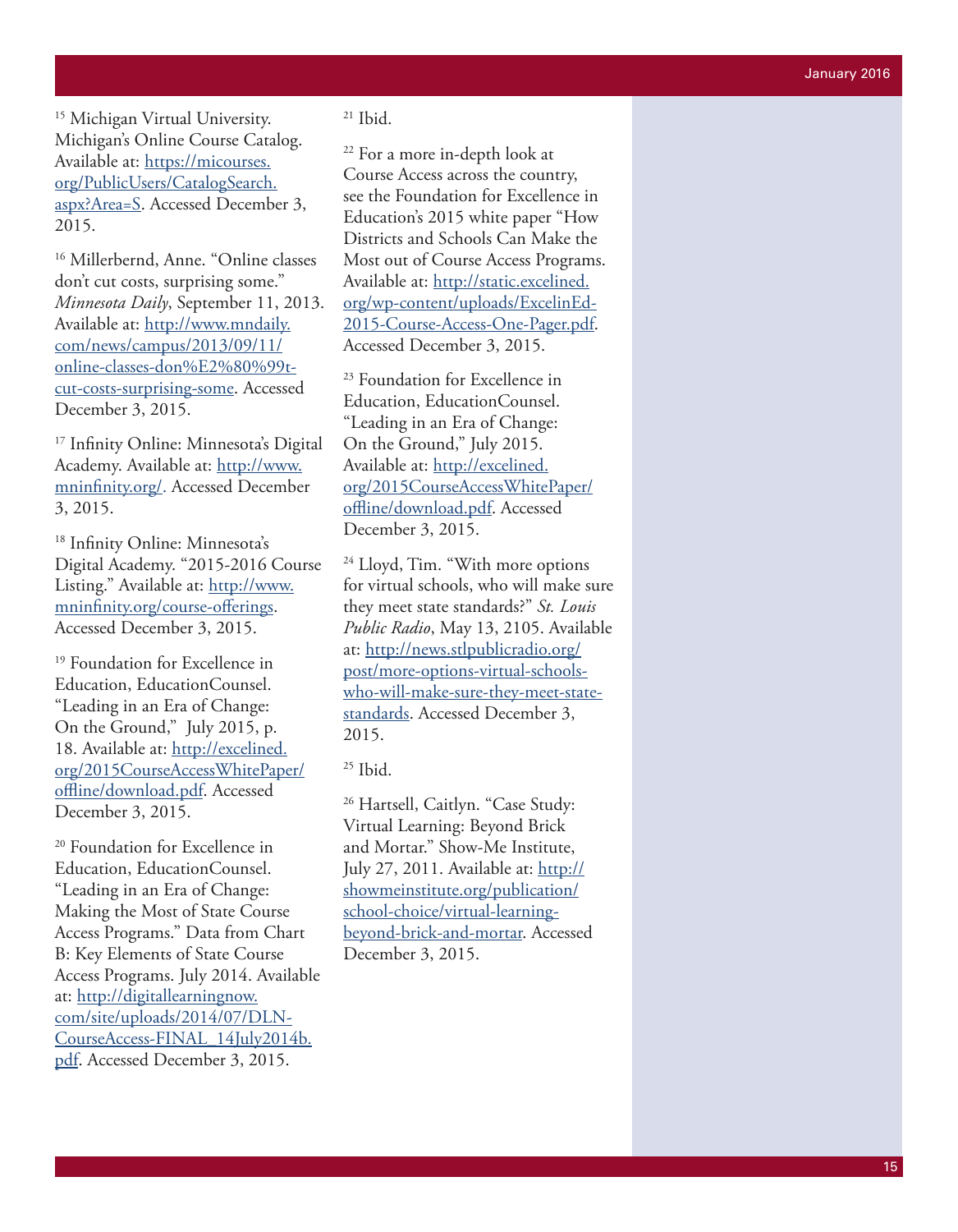<sup>15</sup> Michigan Virtual University. Michigan's Online Course Catalog. Available at: [https://micourses.](https://micourses.org/PublicUsers/CatalogSearch.aspx?Area=S) [org/PublicUsers/CatalogSearch.](https://micourses.org/PublicUsers/CatalogSearch.aspx?Area=S) [aspx?Area=S](https://micourses.org/PublicUsers/CatalogSearch.aspx?Area=S) . Accessed December 3, 2015.

<sup>16</sup> Millerbernd, Anne. "Online classes don't cut costs, surprising some." *Minnesota Daily*, September 11, 2013. Available at: [http://www.mndaily.](http://www.mndaily.com/news/campus/2013/09/11/online-classes-don%E2%80%99t-cut-costs-surprising-some) [com/news/campus/2013/09/11/](http://www.mndaily.com/news/campus/2013/09/11/online-classes-don%E2%80%99t-cut-costs-surprising-some) [online-classes-don%E2%80%99t](http://www.mndaily.com/news/campus/2013/09/11/online-classes-don%E2%80%99t-cut-costs-surprising-some)[cut-costs-surprising-some.](http://www.mndaily.com/news/campus/2013/09/11/online-classes-don%E2%80%99t-cut-costs-surprising-some) Accessed December 3, 2015.

17 Infinity Online: Minnesota's Digital Academy. Available at: [http://www.](http://www.mninfinity.org/) [mninfinity.org/.](http://www.mninfinity.org/) Accessed December 3, 2015 .

18 Infinity Online: Minnesota's Digital Academy. "2015-2016 Course Listing." Available at: [http://www.](http://www.mninfinity.org/course-offerings) [mninfinity.org/course-offerings.](http://www.mninfinity.org/course-offerings) Accessed December 3, 2015.

<sup>19</sup> Foundation for Excellence in Education, EducationCounsel. "Leading in an Era of Change: On the Ground," July 2015, p. 18. Available at: [http://excelined.](http://excelined.org/2015CourseAccessWhitePaper/offline/download.pdf) [org/2015CourseAccessWhitePaper/](http://excelined.org/2015CourseAccessWhitePaper/offline/download.pdf) [offline/download.pdf.](http://excelined.org/2015CourseAccessWhitePaper/offline/download.pdf) Accessed December 3, 2015.

<sup>20</sup> Foundation for Excellence in Education, EducationCounsel. "Leading in an Era of Change: Making the Most of State Course Access Programs." Data from Chart B: Key Elements of State Course Access Programs. July 2014. Available at: [http://digitallearningnow.](http://digitallearningnow.com/site/uploads/2014/07/DLN-CourseAccess-FINAL_14July2014b.pdf) [com/site/uploads/2014/07/DLN-](http://digitallearningnow.com/site/uploads/2014/07/DLN-CourseAccess-FINAL_14July2014b.pdf)[CourseAccess-FINAL\\_14July2014b.](http://digitallearningnow.com/site/uploads/2014/07/DLN-CourseAccess-FINAL_14July2014b.pdf) [pdf](http://digitallearningnow.com/site/uploads/2014/07/DLN-CourseAccess-FINAL_14July2014b.pdf). Accessed December 3, 2015.

 $21$  Ibid.

22 For a more in-depth look at Course Access across the country, see the Foundation for Excellence in Education's 2015 white paper "How Districts and Schools Can Make the Most out of Course Access Programs. Available at: [http://static.excelined.](http://static.excelined.org/wp-content/uploads/ExcelinEd-2015-Course-Access-One-Pager.pdf) [org/wp-content/uploads/ExcelinEd-](http://static.excelined.org/wp-content/uploads/ExcelinEd-2015-Course-Access-One-Pager.pdf)[2015-Course-Access-One-Pager.pdf.](http://static.excelined.org/wp-content/uploads/ExcelinEd-2015-Course-Access-One-Pager.pdf) Accessed December 3, 2015.

<sup>23</sup> Foundation for Excellence in Education, EducationCounsel. "Leading in an Era of Change: On the Ground," July 2015. Available at: [http://excelined.](http://excelined.org/2015CourseAccessWhitePaper/offline/download.pdf) [org/2015CourseAccessWhitePaper/](http://excelined.org/2015CourseAccessWhitePaper/offline/download.pdf) [offline/download.pdf](http://excelined.org/2015CourseAccessWhitePaper/offline/download.pdf). Accessed December 3, 2015.

24 Lloyd, Tim. "With more options for virtual schools, who will make sure they meet state standards?" *St. Louis Public Radio*, May 13, 2105. Available at: [http://news.stlpublicradio.org/](http://news.stlpublicradio.org/post/more-options-virtual-schools-who-will-make-sure-they-meet-state-standards) [post/more-options-virtual-schools](http://news.stlpublicradio.org/post/more-options-virtual-schools-who-will-make-sure-they-meet-state-standards)[who-will-make-sure-they-meet-state](http://news.stlpublicradio.org/post/more-options-virtual-schools-who-will-make-sure-they-meet-state-standards)[standards](http://news.stlpublicradio.org/post/more-options-virtual-schools-who-will-make-sure-they-meet-state-standards). Accessed December 3, 2015.

 $25$  Ibid.

26 Hartsell, Caitlyn. "Case Study: Virtual Learning: Beyond Brick and Mortar." Show-Me Institute, July 27, 2011. Available at: [http://](http://showmeinstitute.org/publication/school-choice/virtual-learning-beyond-brick-and-mortar) [showmeinstitute.org/publication/](http://showmeinstitute.org/publication/school-choice/virtual-learning-beyond-brick-and-mortar) [school-choice/virtual-learning](http://showmeinstitute.org/publication/school-choice/virtual-learning-beyond-brick-and-mortar)[beyond-brick-and-mortar.](http://showmeinstitute.org/publication/school-choice/virtual-learning-beyond-brick-and-mortar) Accessed December 3, 2015.